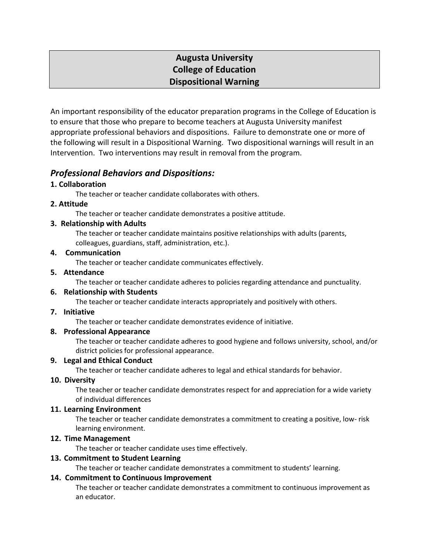# **Augusta University College of Education Dispositional Warning**

An important responsibility of the educator preparation programs in the College of Education is to ensure that those who prepare to become teachers at Augusta University manifest appropriate professional behaviors and dispositions. Failure to demonstrate one or more of the following will result in a Dispositional Warning. Two dispositional warnings will result in an Intervention. Two interventions may result in removal from the program.

# *Professional Behaviors and Dispositions:*

# **1. Collaboration**

The teacher or teacher candidate collaborates with others.

# **2. Attitude**

The teacher or teacher candidate demonstrates a positive attitude.

# **3. Relationship with Adults**

The teacher or teacher candidate maintains positive relationships with adults (parents, colleagues, guardians, staff, administration, etc.).

#### **4. Communication**

The teacher or teacher candidate communicates effectively.

#### **5. Attendance**

The teacher or teacher candidate adheres to policies regarding attendance and punctuality.

#### **6. Relationship with Students**

The teacher or teacher candidate interacts appropriately and positively with others.

#### **7. Initiative**

The teacher or teacher candidate demonstrates evidence of initiative.

#### **8. Professional Appearance**

The teacher or teacher candidate adheres to good hygiene and follows university, school, and/or district policies for professional appearance.

#### **9. Legal and Ethical Conduct**

The teacher or teacher candidate adheres to legal and ethical standards for behavior.

#### **10. Diversity**

The teacher or teacher candidate demonstrates respect for and appreciation for a wide variety of individual differences

#### **11. Learning Environment**

The teacher or teacher candidate demonstrates a commitment to creating a positive, low- risk learning environment.

#### **12. Time Management**

The teacher or teacher candidate uses time effectively.

#### **13. Commitment to Student Learning**

The teacher or teacher candidate demonstrates a commitment to students' learning.

#### **14. Commitment to Continuous Improvement**

The teacher or teacher candidate demonstrates a commitment to continuous improvement as an educator.